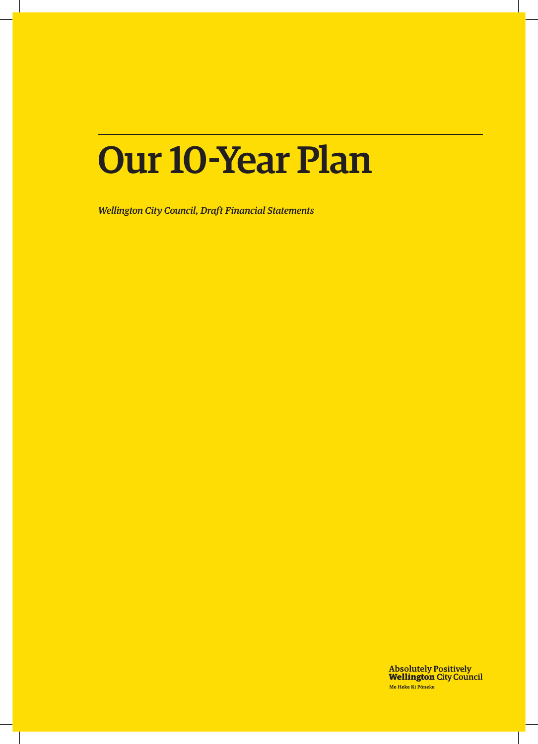# Our 10-Year Plan

*Wellington City Council, Draft Financial Statements*

**Absolutely Positively<br>Wellington City Council** Me Heke Ki Pôneke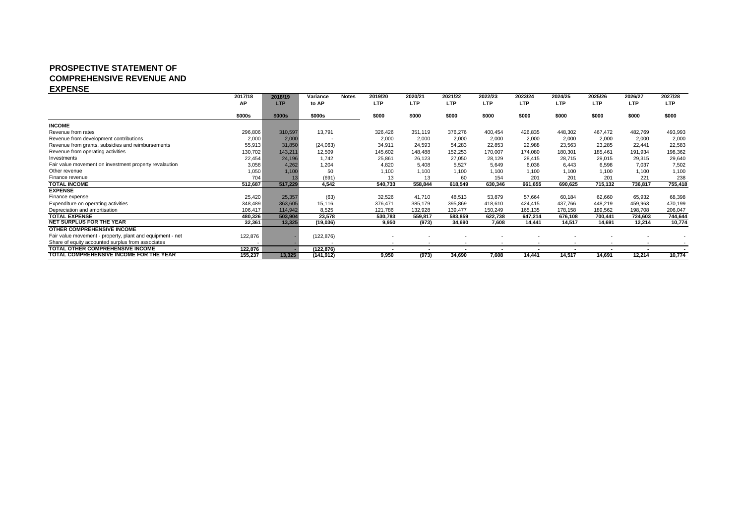#### **PROSPECTIVE STATEMENT OF COMPREHENSIVE REVENUE AND EXPENSE**

|                                                           | 2017/18 | 2018/19    | Variance                 | <b>Notes</b> | 2019/20 | 2020/21                  | 2021/22    | 2022/23                  | 2023/24        | 2024/25                  | 2025/26                  | 2026/27                  | 2027/28    |
|-----------------------------------------------------------|---------|------------|--------------------------|--------------|---------|--------------------------|------------|--------------------------|----------------|--------------------------|--------------------------|--------------------------|------------|
|                                                           | AP      | <b>LTP</b> | to AP                    |              | LTP     | <b>LTP</b>               | <b>LTP</b> | <b>LTP</b>               | <b>LTP</b>     | <b>LTP</b>               | LTP                      | LTP                      | <b>LTP</b> |
|                                                           | \$000s  | \$000s     | \$000s                   |              | \$000   | \$000                    | \$000      | \$000                    | \$000          | \$000                    | \$000                    | \$000                    | \$000      |
| <b>INCOME</b>                                             |         |            |                          |              |         |                          |            |                          |                |                          |                          |                          |            |
| Revenue from rates                                        | 296,806 | 310,597    | 13,791                   |              | 326,426 | 351,119                  | 376,276    | 400,454                  | 426,835        | 448,302                  | 467,472                  | 482,769                  | 493,993    |
| Revenue from development contributions                    | 2,000   | 2,000      |                          |              | 2,000   | 2,000                    | 2,000      | 2,000                    | 2,000          | 2,000                    | 2,000                    | 2,000                    | 2,000      |
| Revenue from grants, subsidies and reimbursements         | 55,913  | 31,850     | (24,063)                 |              | 34,911  | 24,593                   | 54,283     | 22,853                   | 22,988         | 23,563                   | 23,285                   | 22,441                   | 22,583     |
| Revenue from operating activities                         | 130,702 | 143,211    | 12,509                   |              | 145,602 | 148,488                  | 152,253    | 170,007                  | 174,080        | 180,301                  | 185,461                  | 191,934                  | 198,362    |
| Investments                                               | 22,454  | 24,196     | 1.742                    |              | 25,861  | 26,123                   | 27,050     | 28,129                   | 28,415         | 28.715                   | 29,015                   | 29,315                   | 29,640     |
| Fair value movement on investment property revalaution    | 3,058   | 4,262      | 1,204                    |              | 4,820   | 5,408                    | 5,527      | 5,649                    | 6,036          | 6,443                    | 6,598                    | 7,037                    | 7,502      |
| Other revenue                                             | 1,050   | 1,100      | 50                       |              | 1,100   | 1,100                    | 1,100      | 1,100                    | 1,100          | 1,100                    | 1.100                    | 1,100                    | 1,100      |
| Finance revenue                                           | 704     |            | (691)                    |              | 13      | 13                       | 60         | 154                      | 201            | 201                      | 201                      | 221                      | 238        |
| <b>TOTAL INCOME</b>                                       | 512,687 | 517,229    | 4,542                    |              | 540,733 | 558,844                  | 618,549    | 630,346                  | 661,655        | 690,625                  | 715,132                  | 736,817                  | 755,418    |
| <b>EXPENSE</b>                                            |         |            |                          |              |         |                          |            |                          |                |                          |                          |                          |            |
| Finance expense                                           | 25,420  | 25,357     | (63)                     |              | 32,526  | 41,710                   | 48,513     | 53,879                   | 57,664         | 60,184                   | 62,660                   | 65,932                   | 68,398     |
| Expenditure on operating activities                       | 348,489 | 363,605    | 15,116                   |              | 376,471 | 385,179                  | 395,869    | 418,610                  | 424,415        | 437,766                  | 448,219                  | 459,963                  | 470,199    |
| Depreciation and amortisation                             | 106,417 | 114,942    | 8,525                    |              | 121,786 | 132,928                  | 139,477    | 150,249                  | 165,135        | 178,158                  | 189,562                  | 198,708                  | 206,047    |
| <b>TOTAL EXPENSE</b>                                      | 480,326 | 503,904    | 23,578                   |              | 530,783 | 559,817                  | 583,859    | 622,738                  | 647.214        | 676,108                  | 700,441                  | 724,603                  | 744,644    |
| NET SURPLUS FOR THE YEAR                                  | 32,361  | 13,325     | (19,036)                 |              | 9,950   | (973)                    | 34,690     | 7,608                    | 14,441         | 14,517                   | 14,691                   | 12,214                   | 10,774     |
| <b>OTHER COMPREHENSIVE INCOME</b>                         |         |            |                          |              |         |                          |            |                          |                |                          |                          |                          |            |
| Fair value movement - property, plant and equipment - net | 122,876 |            | (122, 876)               |              |         |                          |            |                          |                |                          |                          |                          |            |
| Share of equity accounted surplus from associates         |         |            | $\overline{\phantom{a}}$ |              | $\sim$  | $\sim$                   |            | $\overline{\phantom{a}}$ | $\overline{a}$ | $\overline{a}$           | $\overline{\phantom{0}}$ | $\overline{\phantom{0}}$ |            |
| TOTAL OTHER COMPREHENSIVE INCOME                          | 122,876 |            | (122, 876)               |              |         | $\overline{\phantom{a}}$ |            |                          | $\blacksquare$ | $\overline{\phantom{a}}$ |                          | $\overline{\phantom{a}}$ | $\sim$     |
| TOTAL COMPREHENSIVE INCOME FOR THE YEAR                   | 155,237 | 13,325     | (141, 912)               |              | 9,950   | (973)                    | 34,690     | 7,608                    | 14,441         | 14,517                   | 14,691                   | 12,214                   | 10,774     |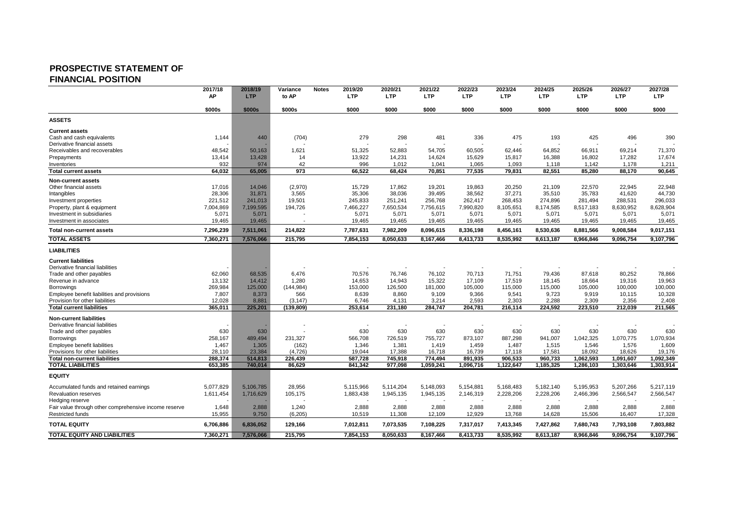### **PROSPECTIVE STATEMENT OF FINANCIAL POSITION**

|                                                                                | 2017/18         | 2018/19        | Variance        | <b>Notes</b> | 2019/20        | 2020/21        | 2021/22        | 2022/23        | 2023/24        | 2024/25        | 2025/26        | 2026/27         | 2027/28         |
|--------------------------------------------------------------------------------|-----------------|----------------|-----------------|--------------|----------------|----------------|----------------|----------------|----------------|----------------|----------------|-----------------|-----------------|
|                                                                                | <b>AP</b>       | <b>LTP</b>     | to AP           |              | <b>LTP</b>     | <b>LTP</b>     | <b>LTP</b>     | <b>LTP</b>     | <b>LTP</b>     | <b>LTP</b>     | <b>LTP</b>     | <b>LTP</b>      | <b>LTP</b>      |
|                                                                                | \$000s          | \$000s         | \$000s          |              | \$000          | \$000          | \$000          | \$000          | \$000          | \$000          | \$000          | \$000           | \$000           |
| <b>ASSETS</b>                                                                  |                 |                |                 |              |                |                |                |                |                |                |                |                 |                 |
| <b>Current assets</b>                                                          |                 |                |                 |              |                |                |                |                |                |                |                |                 |                 |
| Cash and cash equivalents                                                      | 1,144           | 440            | (704)           |              | 279            | 298            | 481            | 336            | 475            | 193            | 425            | 496             | 390             |
| Derivative financial assets<br>Receivables and recoverables                    | 48.542          | 50.163         | 1.621           |              | 51.325         | 52.883         | 54.705         | 60.505         | 62.446         | 64,852         | 66.911         | 69.214          | 71.370          |
| Prepayments                                                                    | 13,414          | 13,428         | 14              |              | 13,922         | 14,231         | 14,624         | 15,629         | 15,817         | 16,388         | 16,802         | 17,282          | 17,674          |
| Inventories                                                                    | 932             | 974            | 42              |              | 996            | 1,012          | 1,041          | 1,065          | 1,093          | 1,118          | 1,142          | 1,178           | 1,211           |
| <b>Total current assets</b>                                                    | 64,032          | 65,005         | 973             |              | 66,522         | 68,424         | 70,851         | 77,535         | 79,831         | 82,551         | 85,280         | 88,170          | 90,645          |
| <b>Non-current assets</b>                                                      |                 |                |                 |              |                |                |                |                |                |                |                |                 |                 |
| Other financial assets                                                         | 17,016          | 14,046         | (2,970)         |              | 15,729         | 17,862         | 19,201         | 19,863         | 20,250         | 21,109         | 22,570         | 22,945          | 22,948          |
| Intangibles                                                                    | 28,306          | 31,871         | 3,565           |              | 35,306         | 38,036         | 39,495         | 38,562         | 37,271         | 35,510         | 35,783         | 41,620          | 44,730          |
| Investment properties                                                          | 221,512         | 241,013        | 19,501          |              | 245,833        | 251,241        | 256,768        | 262,417        | 268,453        | 274,896        | 281,494        | 288,531         | 296,033         |
| Property, plant & equipment                                                    | 7.004.869       | 7.199.595      | 194,726         |              | 7,466,227      | 7,650,534      | 7,756,615      | 7,990,820      | 8,105,651      | 8,174,585      | 8,517,183      | 8,630,952       | 8,628,904       |
| Investment in subsidiaries                                                     | 5,071           | 5,071          |                 |              | 5,071          | 5,071          | 5,071          | 5,071          | 5,071          | 5,071          | 5,071          | 5,071           | 5,071           |
| Investment in associates                                                       | 19,465          | 19,465         |                 |              | 19,465         | 19,465         | 19,465         | 19,465         | 19,465         | 19,465         | 19,465         | 19,465          | 19,465          |
| Total non-current assets                                                       | 7,296,239       | 7,511,061      | 214,822         |              | 7,787,631      | 7,982,209      | 8,096,615      | 8,336,198      | 8,456,161      | 8,530,636      | 8,881,566      | 9,008,584       | 9,017,151       |
| <b>TOTAL ASSETS</b>                                                            | 7,360,271       | 7,576,066      | 215,795         |              | 7,854,153      | 8,050,633      | 8,167,466      | 8,413,733      | 8,535,992      | 8,613,187      | 8,966,846      | 9,096,754       | 9,107,796       |
| <b>LIABILITIES</b>                                                             |                 |                |                 |              |                |                |                |                |                |                |                |                 |                 |
| <b>Current liabilities</b>                                                     |                 |                |                 |              |                |                |                |                |                |                |                |                 |                 |
| Derivative financial liabilities                                               |                 |                |                 |              |                |                |                |                |                |                |                |                 |                 |
| Trade and other payables                                                       | 62,060          | 68,535         | 6,476           |              | 70,576         | 76,746         | 76,102         | 70,713         | 71,751         | 79,436         | 87,618         | 80,252          | 78,866          |
| Revenue in advance                                                             | 13,132          | 14.412         | 1,280           |              | 14,653         | 14,943         | 15,322         | 17,109         | 17,519         | 18,145         | 18,664         | 19,316          | 19,963          |
| Borrowings                                                                     | 269,984         | 125,000        | (144, 984)      |              | 153,000        | 126,500        | 181,000        | 105,000        | 115,000        | 115,000        | 105,000        | 100,000         | 100,000         |
| Employee benefit liabilities and provisions<br>Provision for other liabilities | 7,807<br>12,028 | 8,373<br>8,881 | 566<br>(3, 147) |              | 8,639<br>6,746 | 8,860<br>4,131 | 9,109<br>3,214 | 9,366<br>2,593 | 9,541<br>2,303 | 9,723<br>2,288 | 9,919<br>2,309 | 10,115<br>2,356 | 10,328<br>2,408 |
| <b>Total current liabilities</b>                                               | 365,011         | 225.201        | (139, 809)      |              | 253,614        | 231,180        | 284,747        | 204,781        | 216,114        | 224,592        | 223,510        | 212,039         | 211,565         |
|                                                                                |                 |                |                 |              |                |                |                |                |                |                |                |                 |                 |
| <b>Non-current liabilities</b>                                                 |                 |                |                 |              |                |                |                |                |                |                |                |                 |                 |
| Derivative financial liabilities<br>Trade and other payables                   | 630             | 630            |                 |              | 630            | 630            | 630            | 630            | 630            | 630            | 630            | 630             | 630             |
| Borrowings                                                                     | 258,167         | 489.494        | 231,327         |              | 566,708        | 726,519        | 755,727        | 873,107        | 887,298        | 941,007        | 1,042,325      | 1,070,775       | 1,070,934       |
| Employee benefit liabilities                                                   | 1.467           | 1,305          | (162)           |              | 1,346          | 1,381          | 1,419          | 1,459          | 1,487          | 1,515          | 1,546          | 1.576           | 1,609           |
| Provisions for other liabilities                                               | 28,110          | 23,384         | (4,726)         |              | 19,044         | 17,388         | 16,718         | 16,739         | 17,118         | 17,581         | 18,092         | 18,626          | 19,176          |
| <b>Total non-current liabilities</b>                                           | 288.374         | 514.813        | 226.439         |              | 587.728        | 745.918        | 774.494        | 891.935        | 906,533        | 960.733        | 1.062.593      | 1.091.607       | 1.092.349       |
| <b>TOTAL LIABILITIES</b>                                                       | 653,385         | 740,014        | 86,629          |              | 841,342        | 977,098        | 1,059,241      | 1,096,716      | 1,122,647      | 1,185,325      | 1,286,103      | 1,303,646       | 1,303,914       |
| <b>EQUITY</b>                                                                  |                 |                |                 |              |                |                |                |                |                |                |                |                 |                 |
| Accumulated funds and retained earnings                                        | 5,077,829       | 5.106.785      | 28,956          |              | 5,115,966      | 5,114,204      | 5,148,093      | 5,154,881      | 5,168,483      | 5,182,140      | 5,195,953      | 5,207,266       | 5,217,119       |
| <b>Revaluation reserves</b>                                                    | 1,611,454       | 1.716.629      | 105,175         |              | 1,883,438      | 1,945,135      | 1,945,135      | 2,146,319      | 2,228,206      | 2,228,206      | 2,466,396      | 2,566,547       | 2,566,547       |
| Hedging reserve                                                                |                 |                |                 |              |                |                |                |                |                |                |                |                 |                 |
| Fair value through other comprehensive income reserve                          | 1,648           | 2.888          | 1,240           |              | 2,888          | 2,888          | 2,888          | 2,888          | 2,888          | 2.888          | 2,888          | 2.888           | 2,888           |
| <b>Restricted funds</b>                                                        | 15,955          | 9,750          | (6, 205)        |              | 10,519         | 11,308         | 12,109         | 12,929         | 13,768         | 14,628         | 15,506         | 16,407          | 17,328          |
| <b>TOTAL EQUITY</b>                                                            | 6,706,886       | 6,836,052      | 129,166         |              | 7,012,811      | 7,073,535      | 7,108,225      | 7,317,017      | 7,413,345      | 7,427,862      | 7,680,743      | 7,793,108       | 7,803,882       |
| <b>TOTAL EQUITY AND LIABILITIES</b>                                            | 7,360,271       | 7,576,066      | 215,795         |              | 7,854,153      | 8,050,633      | 8,167,466      | 8,413,733      | 8,535,992      | 8,613,187      | 8,966,846      | 9,096,754       | 9,107,796       |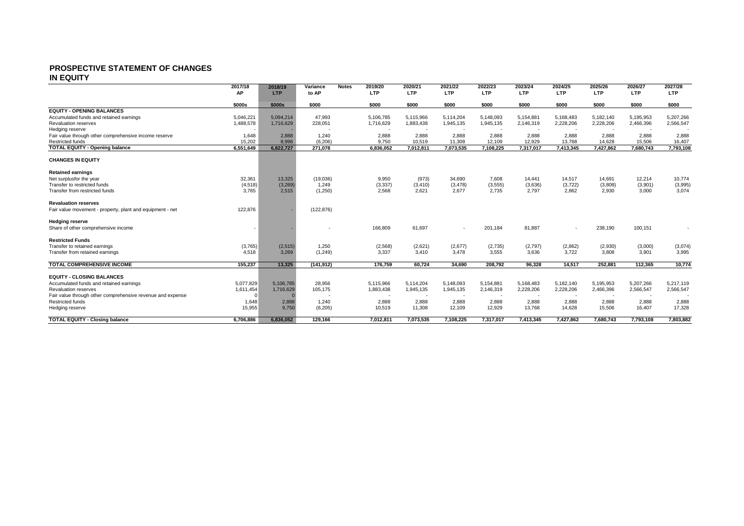#### **PROSPECTIVE STATEMENT OF CHANGES IN EQUITY**

|                                                            | 2017/18   | 2018/19    | Variance   | <b>Notes</b> | 2019/20    | 2020/21                  | 2021/22    | 2022/23    | 2023/24    | 2024/25    | 2025/26    | 2026/27    | 2027/28    |
|------------------------------------------------------------|-----------|------------|------------|--------------|------------|--------------------------|------------|------------|------------|------------|------------|------------|------------|
|                                                            | AP        | <b>LTP</b> | to AP      |              | <b>LTP</b> | <b>LTP</b>               | <b>LTP</b> | <b>LTP</b> | <b>LTP</b> | <b>LTP</b> | <b>LTP</b> | <b>LTP</b> | <b>LTP</b> |
|                                                            | \$000s    | \$000s     | \$000      |              | \$000      | \$000                    | \$000      | \$000      | \$000      | \$000      | \$000      | \$000      | \$000      |
| <b>EQUITY - OPENING BALANCES</b>                           |           |            |            |              |            |                          |            |            |            |            |            |            |            |
| Accumulated funds and retained earnings                    | 5,046,221 | 5.094.214  | 47,993     |              | 5,106,785  | 5,115,966                | 5,114,204  | 5,148,093  | 5,154,881  | 5,168,483  | 5,182,140  | 5,195,953  | 5,207,266  |
| <b>Revaluation reserves</b>                                | 1,488,578 | 1,716,629  | 228,051    |              | 1,716,629  | 1.883.438                | 1,945,135  | 1,945,135  | 2,146,319  | 2,228,206  | 2,228,206  | 2,466,396  | 2,566,547  |
| Hedging reserve                                            |           |            |            |              | $\sim$     | $\overline{\phantom{a}}$ | $\sim$     |            | . .        | $\sim$     |            | . .        |            |
| Fair value through other comprehensive income reserve      | 1,648     | 2.888      | 1.240      |              | 2,888      | 2.888                    | 2.888      | 2,888      | 2,888      | 2,888      | 2.888      | 2.888      | 2,888      |
| Restricted funds                                           | 15.202    | 8.996      | (6.206)    |              | 9.750      | 10.519                   | 11,308     | 12.109     | 12.929     | 13,768     | 14.628     | 15.506     | 16,407     |
| <b>TOTAL EQUITY - Opening balance</b>                      | 6,551,649 | 6,822,727  | 271,078    |              | 6,836,052  | 7,012,811                | 7,073,535  | 7,108,225  | 7,317,017  | 7,413,345  | 7,427,862  | 7,680,743  | 7,793,108  |
| <b>CHANGES IN EQUITY</b>                                   |           |            |            |              |            |                          |            |            |            |            |            |            |            |
| <b>Retained earnings</b>                                   |           |            |            |              |            |                          |            |            |            |            |            |            |            |
| Net surplusfor the year                                    | 32,361    | 13,325     | (19,036)   |              | 9,950      | (973)                    | 34,690     | 7,608      | 14,441     | 14,517     | 14,691     | 12,214     | 10,774     |
| Transfer to restricted funds                               | (4, 518)  | (3, 269)   | 1.249      |              | (3, 337)   | (3, 410)                 | (3, 478)   | (3, 555)   | (3,636)    | (3, 722)   | (3,808)    | (3,901)    | (3,995)    |
| Transfer from restricted funds                             | 3,765     | 2,515      | (1,250)    |              | 2,568      | 2,621                    | 2,677      | 2,735      | 2,797      | 2,862      | 2,930      | 3,000      | 3,074      |
| <b>Revaluation reserves</b>                                |           |            |            |              |            |                          |            |            |            |            |            |            |            |
| Fair value movement - property, plant and equipment - net  | 122,876   |            | (122, 876) |              |            |                          |            |            |            |            |            |            |            |
| <b>Hedging reserve</b>                                     |           |            |            |              |            |                          |            |            |            |            |            |            |            |
| Share of other comprehensive income                        |           |            |            |              | 166,809    | 61,697                   | $\sim$     | 201,184    | 81,887     | $\sim$     | 238,190    | 100,151    |            |
| <b>Restricted Funds</b>                                    |           |            |            |              |            |                          |            |            |            |            |            |            |            |
| Transfer to retained earnings                              | (3,765)   | (2,515)    | 1,250      |              | (2,568)    | (2,621)                  | (2,677)    | (2,735)    | (2,797)    | (2,862)    | (2,930)    | (3,000)    | (3,074)    |
| Transfer from retained earnings                            | 4.518     | 3,269      | (1, 249)   |              | 3.337      | 3.410                    | 3.478      | 3,555      | 3,636      | 3,722      | 3.808      | 3.901      | 3,995      |
| <b>TOTAL COMPREHENSIVE INCOME</b>                          | 155.237   | 13.325     | (141, 912) |              | 176.759    | 60.724                   | 34.690     | 208.792    | 96.328     | 14.517     | 252.881    | 112.365    | 10,774     |
| <b>EQUITY - CLOSING BALANCES</b>                           |           |            |            |              |            |                          |            |            |            |            |            |            |            |
| Accumulated funds and retained earnings                    | 5,077,829 | 5.106.785  | 28,956     |              | 5,115,966  | 5.114.204                | 5,148,093  | 5,154,881  | 5,168,483  | 5,182,140  | 5,195,953  | 5.207.266  | 5,217,119  |
| <b>Revaluation reserves</b>                                | 1,611,454 | 1,716,629  | 105,175    |              | 1,883,438  | 1,945,135                | 1,945,135  | 2,146,319  | 2,228,206  | 2,228,206  | 2,466,396  | 2,566,547  | 2,566,547  |
| Fair value through other comprehensive revenue and expense |           |            |            |              |            |                          |            |            |            |            |            |            |            |
| <b>Restricted funds</b>                                    | 1,648     | 2,888      | 1.240      |              | 2,888      | 2,888                    | 2,888      | 2,888      | 2,888      | 2,888      | 2,888      | 2,888      | 2,888      |
| Hedging reserve                                            | 15,955    | 9,750      | (6, 205)   |              | 10,519     | 11,308                   | 12,109     | 12,929     | 13,768     | 14,628     | 15,506     | 16,407     | 17,328     |
| <b>TOTAL EQUITY - Closing balance</b>                      | 6.706.886 | 6.836.052  | 129.166    |              | 7.012.811  | 7,073,535                | 7.108.225  | 7,317,017  | 7,413,345  | 7,427,862  | 7.680.743  | 7.793.108  | 7.803.882  |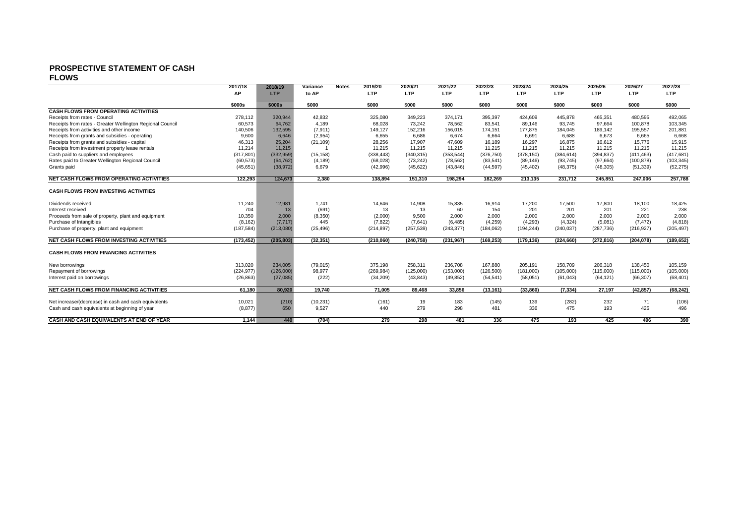# **PROSPECTIVE STATEMENT OF CASH**

**FLOWS**

|                                                           | 2017/18    | 2018/19    | Variance  | <b>Notes</b> | 2019/20    | 2020/21    | 2021/22    | 2022/23    | 2023/24    | 2024/25    | 2025/26    | 2026/27    | 2027/28    |
|-----------------------------------------------------------|------------|------------|-----------|--------------|------------|------------|------------|------------|------------|------------|------------|------------|------------|
|                                                           | AP         | <b>LTP</b> | to AP     |              | <b>LTP</b> | <b>LTP</b> | LTP        | <b>LTP</b> | <b>LTP</b> | <b>LTP</b> | LTP        | <b>LTP</b> | <b>LTP</b> |
|                                                           | \$000s     | \$000s     | \$000     |              | \$000      | \$000      | \$000      | \$000      | \$000      | \$000      | \$000      | \$000      | \$000      |
| <b>CASH FLOWS FROM OPERATING ACTIVITIES</b>               |            |            |           |              |            |            |            |            |            |            |            |            |            |
| Receipts from rates - Council                             | 278,112    | 320,944    | 42,832    |              | 325,080    | 349,223    | 374,171    | 395,397    | 424,609    | 445,878    | 465,351    | 480,595    | 492,065    |
| Receipts from rates - Greater Wellington Regional Council | 60,573     | 64.762     | 4,189     |              | 68.028     | 73.242     | 78,562     | 83.541     | 89.146     | 93,745     | 97.664     | 100.878    | 103,345    |
| Receipts from activities and other income                 | 140,506    | 132,595    | (7, 911)  |              | 149.127    | 152,216    | 156,015    | 174.151    | 177.875    | 184,045    | 189.142    | 195.557    | 201,881    |
| Receipts from grants and subsidies - operating            | 9,600      | 6,646      | (2,954)   |              | 6,655      | 6.686      | 6.674      | 6.664      | 6,691      | 6,688      | 6.673      | 6.665      | 6,668      |
| Receipts from grants and subsidies - capital              | 46,313     | 25,204     | (21, 109) |              | 28,256     | 17,907     | 47,609     | 16,189     | 16,297     | 16,875     | 16.612     | 15,776     | 15,915     |
| Receipts from investment property lease rentals           | 11,214     | 11,215     |           |              | 11.215     | 11,215     | 11,215     | 11,215     | 11,215     | 11,215     | 11,215     | 11,215     | 11,215     |
| Cash paid to suppliers and employees                      | (317, 801) | (332,959)  | (15, 158) |              | (338, 443) | (340, 315) | (353, 544) | (376, 750) | (378, 150) | (384, 614) | (394, 837) | (411, 463) | (417, 681) |
| Rates paid to Greater Wellington Regional Council         | (60, 573)  | (64, 762)  | (4, 189)  |              | (68,028)   | (73, 242)  | (78, 562)  | (83, 541)  | (89, 146)  | (93, 745)  | (97, 664)  | (100, 878) | (103, 345) |
| Grants paid                                               | (45, 651)  | (38, 972)  | 6,679     |              | (42,996)   | (45, 622)  | (43, 846)  | (44, 597)  | (45, 402)  | (48, 375)  | (48, 305)  | (51, 339)  | (52, 275)  |
| <b>NET CASH FLOWS FROM OPERATING ACTIVITIES</b>           | 122.293    | 124,673    | 2,380     |              | 138,894    | 151,310    | 198,294    | 182,269    | 213,135    | 231,712    | 245,851    | 247.006    | 257,788    |
|                                                           |            |            |           |              |            |            |            |            |            |            |            |            |            |
| <b>CASH FLOWS FROM INVESTING ACTIVITIES</b>               |            |            |           |              |            |            |            |            |            |            |            |            |            |
| Dividends received                                        | 11,240     | 12,981     | 1,741     |              | 14.646     | 14.908     | 15,835     | 16,914     | 17,200     | 17,500     | 17.800     | 18,100     | 18,425     |
| Interest received                                         | 704        | 13         | (691)     |              | 13         | 13         | 60         | 154        | 201        | 201        | 201        | 221        | 238        |
| Proceeds from sale of property, plant and equipment       | 10,350     | 2.000      | (8,350)   |              | (2,000)    | 9.500      | 2,000      | 2.000      | 2.000      | 2,000      | 2.000      | 2.000      | 2,000      |
| Purchase of Intangibles                                   | (8, 162)   | (7, 717)   | 445       |              | (7, 822)   | (7,641)    | (6, 485)   | (4,259)    | (4,293)    | (4,324)    | (5,081)    | (7, 472)   | (4, 818)   |
| Purchase of property, plant and equipment                 | (187, 584) | (213,080)  | (25, 496) |              | (214, 897) | (257, 539) | (243, 377) | (184, 062) | (194, 244) | (240, 037) | (287, 736) | (216, 927) | (205, 497) |
| NET CASH FLOWS FROM INVESTING ACTIVITIES                  | (173, 452) | (205, 803) | (32, 351) |              | (210,060)  | (240, 759) | (231, 967) | (169, 253) | (179, 136) | (224, 660) | (272, 816) | (204.078)  | (189, 652) |
| <b>CASH FLOWS FROM FINANCING ACTIVITIES</b>               |            |            |           |              |            |            |            |            |            |            |            |            |            |
| New borrowings                                            | 313,020    | 234,005    | (79, 015) |              | 375,198    | 258,311    | 236,708    | 167,880    | 205,191    | 158,709    | 206,318    | 138,450    | 105,159    |
| Repayment of borrowings                                   | (224, 977) | (126,000)  | 98,977    |              | (269, 984) | (125,000)  | (153,000)  | (126, 500) | (181,000)  | (105,000)  | (115,000)  | (115,000)  | (105,000)  |
| Interest paid on borrowings                               | (26, 863)  | (27,085)   | (222)     |              | (34, 209)  | (43, 843)  | (49, 852)  | (54, 541)  | (58,051)   | (61, 043)  | (64, 121)  | (66, 307)  | (68, 401)  |
| <b>NET CASH FLOWS FROM FINANCING ACTIVITIES</b>           | 61.180     | 80.920     | 19.740    |              | 71.005     | 89.468     | 33.856     | (13, 161)  | (33,860)   | (7, 334)   | 27.197     | (42, 857)  | (68, 242)  |
|                                                           |            |            |           |              |            |            |            |            |            |            |            |            |            |
| Net increase/(decrease) in cash and cash equivalents      | 10,021     | (210)      | (10, 231) |              | (161)      | 19         | 183        | (145)      | 139        | (282)      | 232        | 71         | (106)      |
| Cash and cash equivalents at beginning of year            | (8, 877)   | 650        | 9,527     |              | 440        | 279        | 298        | 481        | 336        | 475        | 193        | 425        | 496        |
| CASH AND CASH EQUIVALENTS AT END OF YEAR                  | 1.144      | 440        | (704)     |              | 279        | 298        | 481        | 336        | 475        | 193        | 425        | 496        | 390        |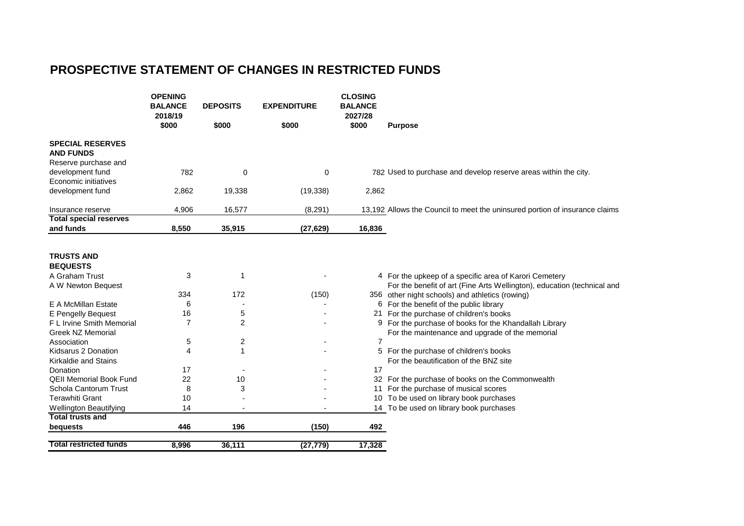# **PROSPECTIVE STATEMENT OF CHANGES IN RESTRICTED FUNDS**

|                                             | <b>OPENING</b><br><b>BALANCE</b> | <b>DEPOSITS</b> | <b>EXPENDITURE</b> | <b>CLOSING</b><br><b>BALANCE</b> |                                                                             |
|---------------------------------------------|----------------------------------|-----------------|--------------------|----------------------------------|-----------------------------------------------------------------------------|
|                                             | 2018/19                          |                 |                    | 2027/28                          |                                                                             |
|                                             | \$000                            | \$000           | \$000              | \$000                            | <b>Purpose</b>                                                              |
| <b>SPECIAL RESERVES</b><br><b>AND FUNDS</b> |                                  |                 |                    |                                  |                                                                             |
| Reserve purchase and                        |                                  |                 |                    |                                  |                                                                             |
| development fund                            | 782                              | 0               | $\mathbf 0$        |                                  | 782 Used to purchase and develop reserve areas within the city.             |
| Economic initiatives                        |                                  |                 |                    |                                  |                                                                             |
| development fund                            | 2,862                            | 19,338          | (19, 338)          | 2,862                            |                                                                             |
| Insurance reserve                           | 4,906                            | 16,577          | (8, 291)           |                                  | 13,192 Allows the Council to meet the uninsured portion of insurance claims |
| <b>Total special reserves</b>               |                                  |                 |                    |                                  |                                                                             |
| and funds                                   | 8,550                            | 35,915          | (27, 629)          | 16,836                           |                                                                             |
|                                             |                                  |                 |                    |                                  |                                                                             |
| <b>TRUSTS AND</b>                           |                                  |                 |                    |                                  |                                                                             |
| <b>BEQUESTS</b>                             |                                  |                 |                    |                                  |                                                                             |
| A Graham Trust                              | 3                                | 1               |                    |                                  | 4 For the upkeep of a specific area of Karori Cemetery                      |
| A W Newton Bequest                          |                                  |                 |                    |                                  | For the benefit of art (Fine Arts Wellington), education (technical and     |
|                                             | 334                              | 172             | (150)              |                                  | 356 other night schools) and athletics (rowing)                             |
| E A McMillan Estate                         | 6                                |                 |                    |                                  | 6 For the benefit of the public library                                     |
| E Pengelly Bequest                          | 16                               | 5               |                    |                                  | 21 For the purchase of children's books                                     |
| F L Irvine Smith Memorial                   | 7                                | 2               |                    |                                  | 9 For the purchase of books for the Khandallah Library                      |
| <b>Greek NZ Memorial</b>                    |                                  |                 |                    |                                  | For the maintenance and upgrade of the memorial                             |
| Association                                 | 5                                | 2               |                    | 7                                |                                                                             |
| Kidsarus 2 Donation                         | $\overline{4}$                   | 1               |                    |                                  | 5 For the purchase of children's books                                      |
| <b>Kirkaldie and Stains</b>                 |                                  |                 |                    |                                  | For the beautification of the BNZ site                                      |
| Donation                                    | 17                               |                 |                    | 17                               |                                                                             |
| <b>QEII Memorial Book Fund</b>              | 22                               | 10              |                    |                                  | 32 For the purchase of books on the Commonwealth                            |
| Schola Cantorum Trust                       | 8                                | 3               |                    | 11                               | For the purchase of musical scores                                          |
| <b>Terawhiti Grant</b>                      | 10                               |                 |                    | 10                               | To be used on library book purchases                                        |
| <b>Wellington Beautifying</b>               | 14                               |                 |                    |                                  | 14 To be used on library book purchases                                     |
| <b>Total trusts and</b>                     |                                  |                 |                    |                                  |                                                                             |
| bequests                                    | 446                              | 196             | (150)              | 492                              |                                                                             |
| <b>Total restricted funds</b>               | 8,996                            | 36,111          | (27, 779)          | 17,328                           |                                                                             |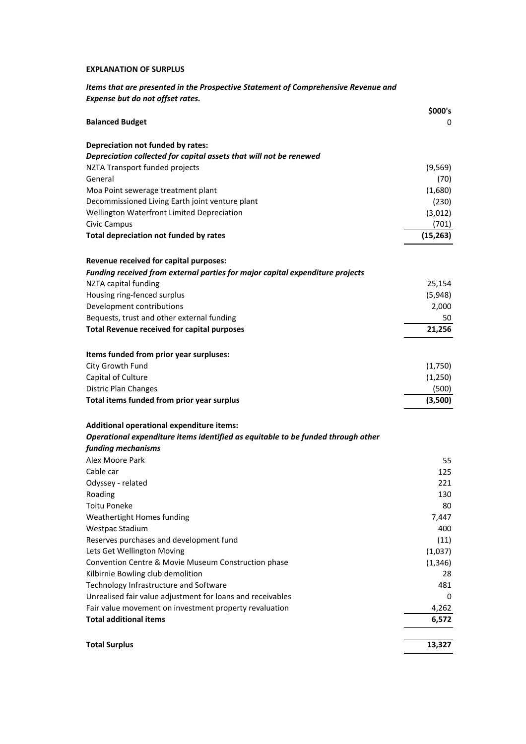## **EXPLANATION OF SURPLUS**

*Items that are presented in the Prospective Statement of Comprehensive Revenue and Expense but do not offset rates.*

|                                                                                  | \$000's   |
|----------------------------------------------------------------------------------|-----------|
| <b>Balanced Budget</b>                                                           | 0         |
| Depreciation not funded by rates:                                                |           |
| Depreciation collected for capital assets that will not be renewed               |           |
| NZTA Transport funded projects                                                   | (9, 569)  |
| General                                                                          | (70)      |
| Moa Point sewerage treatment plant                                               | (1,680)   |
| Decommissioned Living Earth joint venture plant                                  | (230)     |
| Wellington Waterfront Limited Depreciation                                       | (3,012)   |
| Civic Campus                                                                     | (701)     |
| Total depreciation not funded by rates                                           | (15, 263) |
| Revenue received for capital purposes:                                           |           |
| Funding received from external parties for major capital expenditure projects    |           |
| NZTA capital funding                                                             | 25,154    |
| Housing ring-fenced surplus                                                      | (5,948)   |
| Development contributions                                                        | 2,000     |
| Bequests, trust and other external funding                                       | 50        |
| <b>Total Revenue received for capital purposes</b>                               | 21,256    |
| Items funded from prior year surpluses:                                          |           |
| City Growth Fund                                                                 | (1,750)   |
| Capital of Culture                                                               | (1, 250)  |
| <b>Distric Plan Changes</b>                                                      | (500)     |
| Total items funded from prior year surplus                                       | (3,500)   |
| Additional operational expenditure items:                                        |           |
| Operational expenditure items identified as equitable to be funded through other |           |
| funding mechanisms                                                               |           |
| Alex Moore Park                                                                  | 55        |
| Cable car                                                                        | 125       |
| Odyssey - related                                                                | 221       |
| Roading                                                                          | 130       |
| <b>Toitu Poneke</b>                                                              | 80        |
| Weathertight Homes funding                                                       | 7,447     |
| <b>Westpac Stadium</b>                                                           | 400       |
| Reserves purchases and development fund                                          | (11)      |
| Lets Get Wellington Moving                                                       | (1,037)   |
| Convention Centre & Movie Museum Construction phase                              | (1, 346)  |
| Kilbirnie Bowling club demolition                                                | 28        |
| Technology Infrastructure and Software                                           | 481       |
| Unrealised fair value adjustment for loans and receivables                       | 0         |
| Fair value movement on investment property revaluation                           | 4,262     |
| <b>Total additional items</b>                                                    | 6,572     |
|                                                                                  |           |
| <b>Total Surplus</b>                                                             | 13,327    |
|                                                                                  |           |